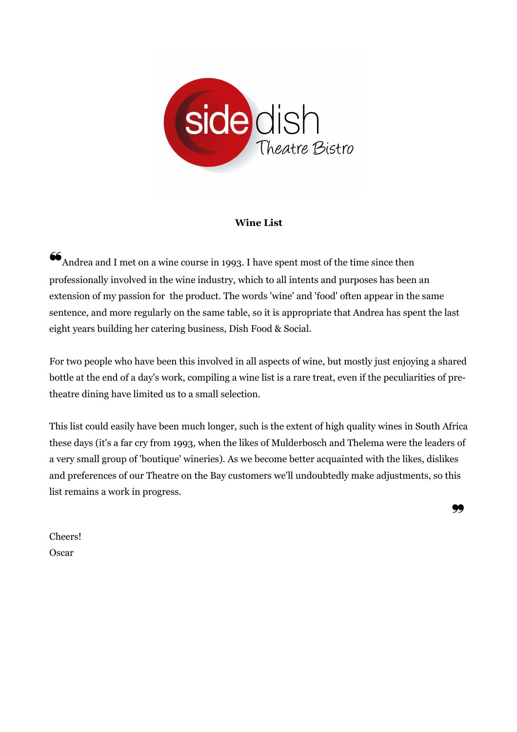

#### **Wine List**

 $\mathbf{\mathcal{G}}_{\text{Andrea and I met on a wine course in 1993. I have spent most of the time since then}$ professionally involved in the wine industry, which to all intents and purposes has been an extension of my passion for the product. The words 'wine' and 'food' often appear in the same sentence, and more regularly on the same table, so it is appropriate that Andrea has spent the last eight years building her catering business, Dish Food & Social.

For two people who have been this involved in all aspects of wine, but mostly just enjoying a shared bottle at the end of a day's work, compiling a wine list is a rare treat, even if the peculiarities of pretheatre dining have limited us to a small selection.

This list could easily have been much longer, such is the extent of high quality wines in South Africa these days (it's a far cry from 1993, when the likes of Mulderbosch and Thelema were the leaders of a very small group of 'boutique' wineries). As we become better acquainted with the likes, dislikes and preferences of our Theatre on the Bay customers we'll undoubtedly make adjustments, so this list remains a work in progress.

❞

Cheers! **Oscar**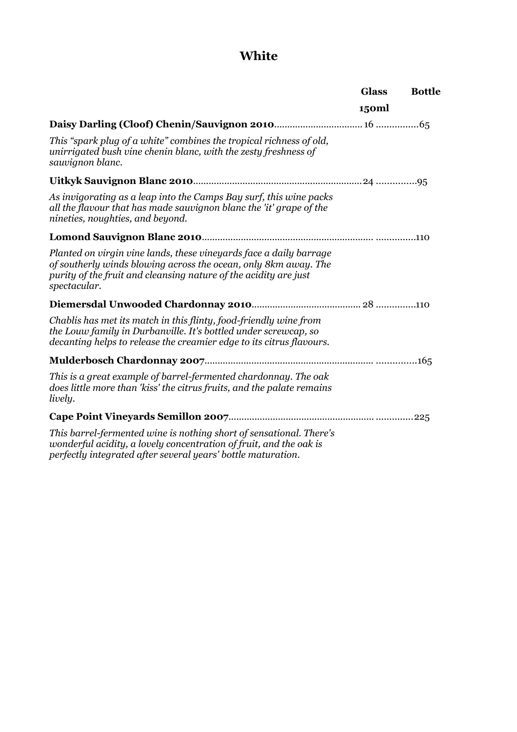# **White**

|                                                                                                                                                                                                                           | <b>Glass</b> | <b>Bottle</b> |
|---------------------------------------------------------------------------------------------------------------------------------------------------------------------------------------------------------------------------|--------------|---------------|
|                                                                                                                                                                                                                           | 150ml        |               |
|                                                                                                                                                                                                                           |              |               |
| This "spark plug of a white" combines the tropical richness of old,<br>unirrigated bush vine chenin blanc, with the zesty freshness of<br>sauvignon blanc.                                                                |              |               |
|                                                                                                                                                                                                                           |              |               |
| As invigorating as a leap into the Camps Bay surf, this wine packs<br>all the flavour that has made sauvignon blanc the 'it' grape of the<br>nineties, noughties, and beyond.                                             |              |               |
|                                                                                                                                                                                                                           |              |               |
| Planted on virgin vine lands, these vineyards face a daily barrage<br>of southerly winds blowing across the ocean, only 8km away. The<br>purity of the fruit and cleansing nature of the acidity are just<br>spectacular. |              |               |
|                                                                                                                                                                                                                           |              |               |
| Chablis has met its match in this flinty, food-friendly wine from<br>the Louw family in Durbanville. It's bottled under screwcap, so<br>decanting helps to release the creamier edge to its citrus flavours.              |              |               |
|                                                                                                                                                                                                                           |              |               |
| This is a great example of barrel-fermented chardonnay. The oak<br>does little more than 'kiss' the citrus fruits, and the palate remains<br>lively.                                                                      |              |               |
|                                                                                                                                                                                                                           |              |               |
| This barrel-fermented wine is nothing short of sensational. There's<br>wonderful acidity, a lovely concentration of fruit, and the oak is<br>perfectly integrated after several years' bottle maturation.                 |              |               |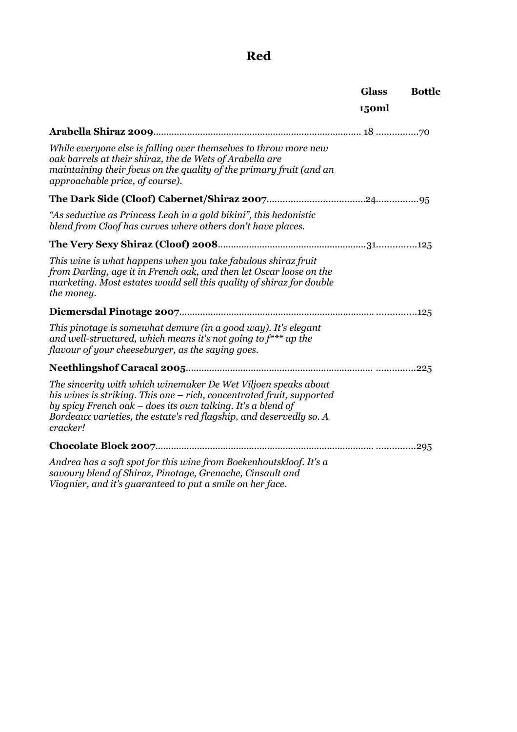## **Red**

|                                                                                                                                                                                                                                                                                           | <b>Glass</b><br>150ml | <b>Bottle</b> |
|-------------------------------------------------------------------------------------------------------------------------------------------------------------------------------------------------------------------------------------------------------------------------------------------|-----------------------|---------------|
|                                                                                                                                                                                                                                                                                           |                       |               |
|                                                                                                                                                                                                                                                                                           |                       |               |
| While everyone else is falling over themselves to throw more new<br>oak barrels at their shiraz, the de Wets of Arabella are<br>maintaining their focus on the quality of the primary fruit (and an<br>approachable price, of course).                                                    |                       |               |
|                                                                                                                                                                                                                                                                                           |                       |               |
| "As seductive as Princess Leah in a gold bikini", this hedonistic<br>blend from Cloof has curves where others don't have places.                                                                                                                                                          |                       |               |
|                                                                                                                                                                                                                                                                                           |                       |               |
| This wine is what happens when you take fabulous shiraz fruit<br>from Darling, age it in French oak, and then let Oscar loose on the<br>marketing. Most estates would sell this quality of shiraz for double<br>the money.                                                                |                       |               |
|                                                                                                                                                                                                                                                                                           |                       |               |
| This pinotage is somewhat demure (in a good way). It's elegant<br>and well-structured, which means it's not going to $f^{**}$ up the<br>flavour of your cheeseburger, as the saying goes.                                                                                                 |                       |               |
|                                                                                                                                                                                                                                                                                           |                       |               |
| The sincerity with which winemaker De Wet Viljoen speaks about<br>his wines is striking. This one – rich, concentrated fruit, supported<br>by spicy French oak – does its own talking. It's a blend of<br>Bordeaux varieties, the estate's red flagship, and deservedly so. A<br>cracker! |                       |               |
|                                                                                                                                                                                                                                                                                           |                       |               |
| Andrea has a soft spot for this wine from Boekenhoutskloof. It's a<br>savoury blend of Shiraz, Pinotage, Grenache, Cinsault and<br>Viognier, and it's guaranteed to put a smile on her face.                                                                                              |                       |               |